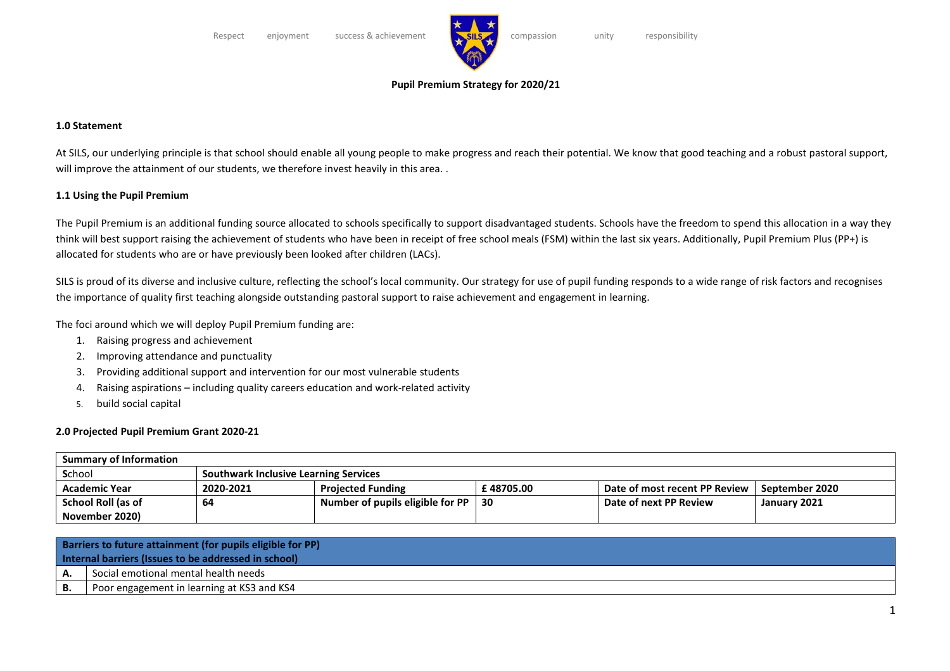

## **Pupil Premium Strategy for 2020/21**

## **1.0 Statement**

At SILS, our underlying principle is that school should enable all young people to make progress and reach their potential. We know that good teaching and a robust pastoral support, will improve the attainment of our students, we therefore invest heavily in this area..

## **1.1 Using the Pupil Premium**

The Pupil Premium is an additional funding source allocated to schools specifically to support disadvantaged students. Schools have the freedom to spend this allocation in a way they think will best support raising the achievement of students who have been in receipt of free school meals (FSM) within the last six years. Additionally, Pupil Premium Plus (PP+) is allocated for students who are or have previously been looked after children (LACs).

SILS is proud of its diverse and inclusive culture, reflecting the school's local community. Our strategy for use of pupil funding responds to a wide range of risk factors and recognises the importance of quality first teaching alongside outstanding pastoral support to raise achievement and engagement in learning.

The foci around which we will deploy Pupil Premium funding are:

- 1. Raising progress and achievement
- 2. Improving attendance and punctuality
- 3. Providing additional support and intervention for our most vulnerable students
- 4. Raising aspirations including quality careers education and work-related activity
- 5. build social capital

## **2.0 Projected Pupil Premium Grant 2020-21**

| <b>Summary of Information</b> |                                              |                                  |           |                               |                |  |
|-------------------------------|----------------------------------------------|----------------------------------|-----------|-------------------------------|----------------|--|
| School                        | <b>Southwark Inclusive Learning Services</b> |                                  |           |                               |                |  |
| <b>Academic Year</b>          | 2020-2021                                    | <b>Projected Funding</b>         | £48705.00 | Date of most recent PP Review | September 2020 |  |
| School Roll (as of            | 64                                           | Number of pupils eligible for PP | -30       | Date of next PP Review        | January 2021   |  |
| November 2020)                |                                              |                                  |           |                               |                |  |

| Barriers to future attainment (for pupils eligible for PP) |                                            |  |
|------------------------------------------------------------|--------------------------------------------|--|
| Internal barriers (Issues to be addressed in school)       |                                            |  |
| А.                                                         | Social emotional mental health needs       |  |
| В.                                                         | Poor engagement in learning at KS3 and KS4 |  |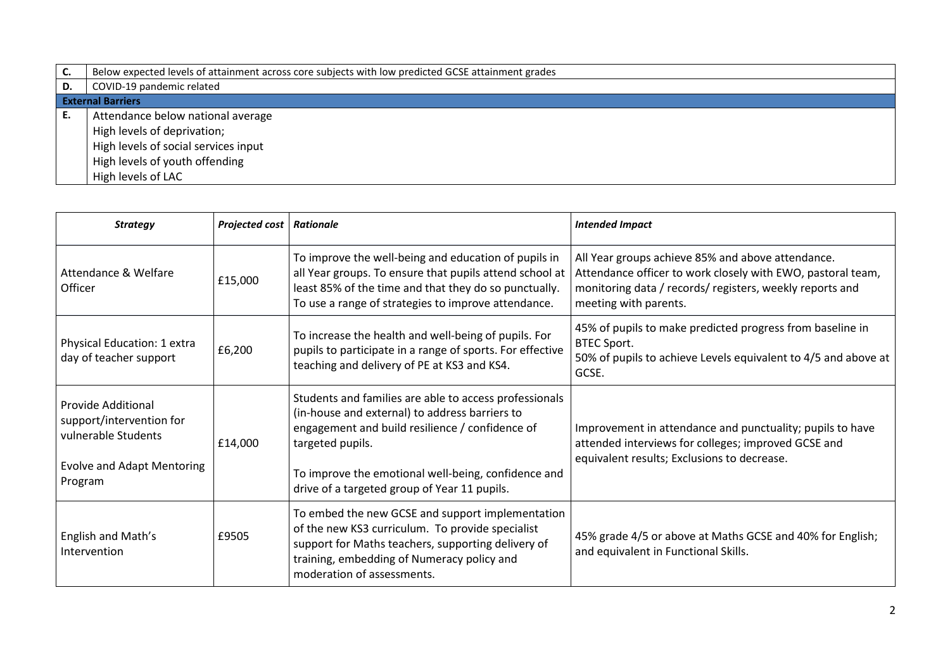| C. | Below expected levels of attainment across core subjects with low predicted GCSE attainment grades |
|----|----------------------------------------------------------------------------------------------------|
| D. | COVID-19 pandemic related                                                                          |
|    | <b>External Barriers</b>                                                                           |
| Е. | Attendance below national average                                                                  |
|    | High levels of deprivation;                                                                        |
|    | High levels of social services input                                                               |
|    | High levels of youth offending                                                                     |
|    | High levels of LAC                                                                                 |

| <b>Strategy</b>                                                                                                              | Projected cost | Rationale                                                                                                                                                                                                                                                                              | <b>Intended Impact</b>                                                                                                                                                                                |
|------------------------------------------------------------------------------------------------------------------------------|----------------|----------------------------------------------------------------------------------------------------------------------------------------------------------------------------------------------------------------------------------------------------------------------------------------|-------------------------------------------------------------------------------------------------------------------------------------------------------------------------------------------------------|
| Attendance & Welfare<br>Officer                                                                                              | £15,000        | To improve the well-being and education of pupils in<br>all Year groups. To ensure that pupils attend school at<br>least 85% of the time and that they do so punctually.<br>To use a range of strategies to improve attendance.                                                        | All Year groups achieve 85% and above attendance.<br>Attendance officer to work closely with EWO, pastoral team,<br>monitoring data / records/ registers, weekly reports and<br>meeting with parents. |
| Physical Education: 1 extra<br>day of teacher support                                                                        | £6,200         | To increase the health and well-being of pupils. For<br>pupils to participate in a range of sports. For effective<br>teaching and delivery of PE at KS3 and KS4.                                                                                                                       | 45% of pupils to make predicted progress from baseline in<br><b>BTEC Sport.</b><br>50% of pupils to achieve Levels equivalent to 4/5 and above at<br>GCSE.                                            |
| <b>Provide Additional</b><br>support/intervention for<br>vulnerable Students<br><b>Evolve and Adapt Mentoring</b><br>Program | £14,000        | Students and families are able to access professionals<br>(in-house and external) to address barriers to<br>engagement and build resilience / confidence of<br>targeted pupils.<br>To improve the emotional well-being, confidence and<br>drive of a targeted group of Year 11 pupils. | Improvement in attendance and punctuality; pupils to have<br>attended interviews for colleges; improved GCSE and<br>equivalent results; Exclusions to decrease.                                       |
| English and Math's<br>Intervention                                                                                           | £9505          | To embed the new GCSE and support implementation<br>of the new KS3 curriculum. To provide specialist<br>support for Maths teachers, supporting delivery of<br>training, embedding of Numeracy policy and<br>moderation of assessments.                                                 | 45% grade 4/5 or above at Maths GCSE and 40% for English;<br>and equivalent in Functional Skills.                                                                                                     |